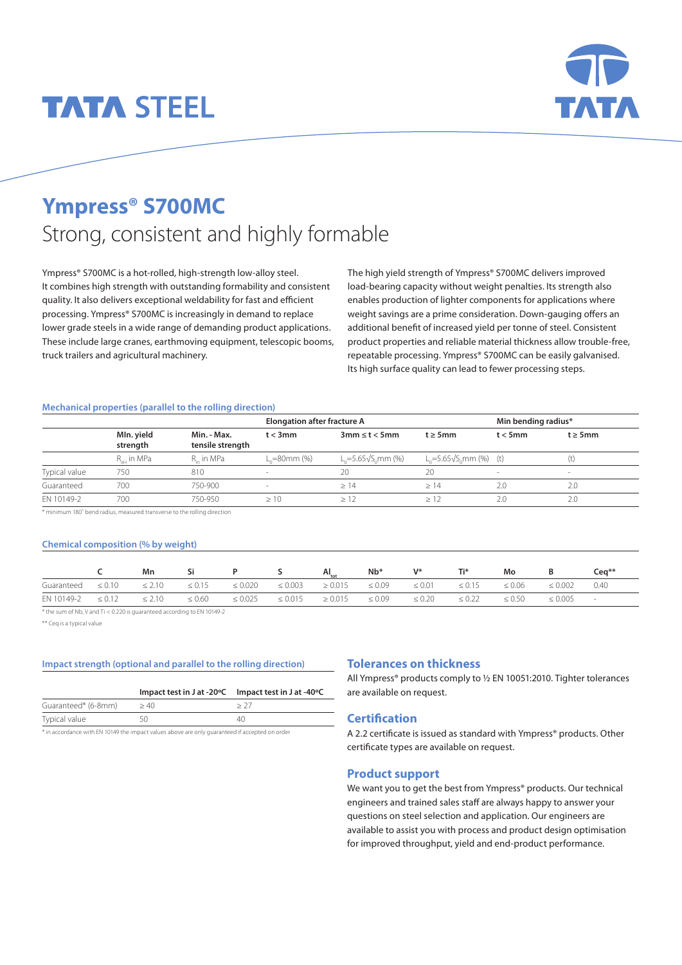# **TATA STEEL**



## **Ympress® S700MC** Strong, consistent and highly formable

Ympress® S700MC is a hot-rolled, high-strength low-alloy steel. It combines high strength with outstanding formability and consistent quality. It also delivers exceptional weldability for fast and efficient processing. Ympress® S700MC is increasingly in demand to replace lower grade steels in a wide range of demanding product applications. These include large cranes, earthmoving equipment, telescopic booms, truck trailers and agricultural machinery.

The high yield strength of Ympress® S700MC delivers improved load-bearing capacity without weight penalties. Its strength also enables production of lighter components for applications where weight savings are a prime consideration. Down-gauging offers an additional benefit of increased yield per tonne of steel. Consistent product properties and reliable material thickness allow trouble-free, repeatable processing. Ympress® S700MC can be easily galvanised. Its high surface quality can lead to fewer processing steps.

#### **Mechanical properties (parallel to the rolling direction)**

|               |                        |                                 | <b>Elongation after fracture A</b> |                           | Min bending radius*                            |                          |               |
|---------------|------------------------|---------------------------------|------------------------------------|---------------------------|------------------------------------------------|--------------------------|---------------|
|               | MIn. yield<br>strength | Min. - Max.<br>tensile strength | $t < 3$ mm                         | $3mm \leq t \leq 5mm$     | $t \geq 5$ mm                                  | $t < 5$ mm               | $t \geq 5$ mm |
|               | R <sub>eH</sub> in MPa | R in MPa                        | _=80mm (%)                         | $L = 5.65\sqrt{S}$ mm (%) | L <sub>o</sub> =5.65√S <sub>o</sub> mm (%) (t) |                          | (t)           |
| Typical value | 750                    | 810                             |                                    | 20                        | 20                                             | $\overline{\phantom{a}}$ | -             |
| Guaranteed    | 700                    | 750-900                         | $\sim$                             | >14                       | >14                                            | 2.0                      | 2.0           |
| EN 10149-2    | 700                    | 750-950                         | >10                                | >12                       |                                                | 2.0                      | 2.0           |

 $\overline{\phantom{a}}$  minimum 180° bend radius, measured transverse to the rolling direction

#### **Chemical composition (% by weight)**

|            |                         | Mn | Si                                               |                         |              | $AI_{\text{tot}}$                                | $Nb*$       | V*          | Ti*         | Mo          |              | Cea <sup>**</sup> |
|------------|-------------------------|----|--------------------------------------------------|-------------------------|--------------|--------------------------------------------------|-------------|-------------|-------------|-------------|--------------|-------------------|
| Guaranteed |                         |    | $\leq 0.10$ $\leq 2.10$ $\leq 0.15$ $\leq 0.020$ |                         | $\leq 0.003$ | $\geq 0.015$ $\leq 0.09$ $\leq 0.01$ $\leq 0.15$ |             |             |             | $\leq 0.06$ | $\leq 0.002$ | 0.40              |
| EN 10149-2 | $\leq 0.12$ $\leq 2.10$ |    | $\leq 0.60$                                      | $\leq 0.025 \leq 0.015$ |              | $\geq 0.015$                                     | $\leq 0.09$ | $\leq 0.20$ | $\leq 0.22$ | $\leq 0.50$ | $\leq 0.005$ | $\sim$            |

\* the sum of Nb, V and Ti < 0.220 is guaranteed according to EN 10149-2

\*\* Ceq is a typical value

#### **Impact strength (optional and parallel to the rolling direction)**

|                     |                                                                                                                | Impact test in J at -20°C Impact test in J at -40°C |
|---------------------|----------------------------------------------------------------------------------------------------------------|-----------------------------------------------------|
| Guaranteed* (6-8mm) | >40                                                                                                            |                                                     |
| Typical value       |                                                                                                                | 4()                                                 |
|                     | At the complete computer ENT 404 40 also the complete state and complete complete at 10 compared in a model of |                                                     |

\* in accordance with EN 10149 the impact values above are only guaranteed if accepted on order

#### **Tolerances on thickness**

All Ympress® products comply to ½ EN 10051:2010. Tighter tolerances are available on request.

#### **Certification**

A 2.2 certificate is issued as standard with Ympress® products. Other certificate types are available on request.

#### **Product support**

We want you to get the best from Ympress® products. Our technical engineers and trained sales staff are always happy to answer your questions on steel selection and application. Our engineers are available to assist you with process and product design optimisation for improved throughput, yield and end-product performance.